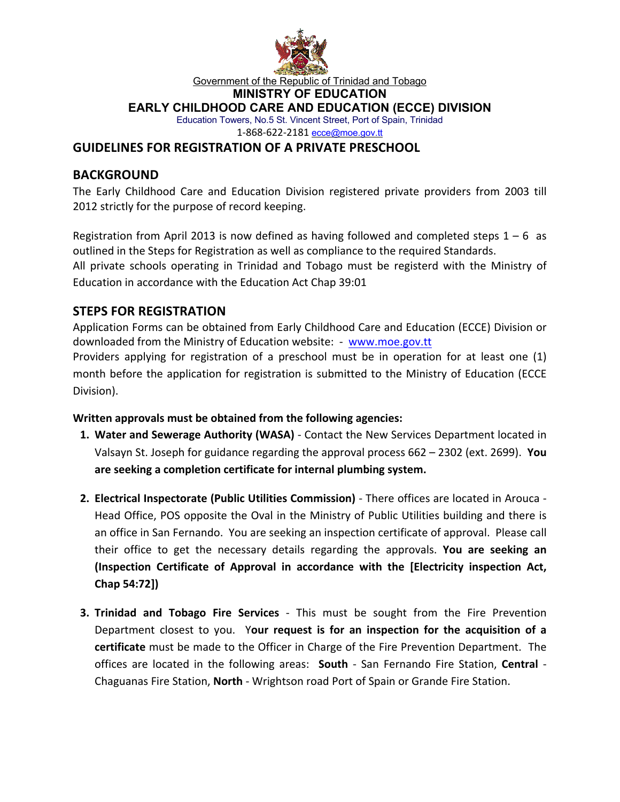

#### Government of the Republic of Trinidad and Tobago

#### **MINISTRY OF EDUCATION**

#### **EARLY CHILDHOOD CARE AND EDUCATION (ECCE) DIVISION**

Education Towers, No.5 St. Vincent Street, Port of Spain, Trinidad 1-868-622-2181 ecce@moe.gov.tt

### **GUIDELINES FOR REGISTRATION OF A PRIVATE PRESCHOOL**

## **BACKGROUND**

The Early Childhood Care and Education Division registered private providers from 2003 till 2012 strictly for the purpose of record keeping.

Registration from April 2013 is now defined as having followed and completed steps  $1 - 6$  as outlined in the Steps for Registration as well as compliance to the required Standards. All private schools operating in Trinidad and Tobago must be registerd with the Ministry of Education in accordance with the Education Act Chap 39:01

## **STEPS FOR REGISTRATION**

Application Forms can be obtained from Early Childhood Care and Education (ECCE) Division or downloaded from the Ministry of Education website: - www.moe.gov.tt

Providers applying for registration of a preschool must be in operation for at least one (1) month before the application for registration is submitted to the Ministry of Education (ECCE Division).

#### **Written approvals must be obtained from the following agencies:**

- **1. Water and Sewerage Authority (WASA)** Contact the New Services Department located in Valsayn St. Joseph for guidance regarding the approval process 662 – 2302 (ext. 2699). **You are seeking a completion certificate for internal plumbing system.**
- **2. Electrical Inspectorate (Public Utilities Commission)** There offices are located in Arouca Head Office, POS opposite the Oval in the Ministry of Public Utilities building and there is an office in San Fernando. You are seeking an inspection certificate of approval. Please call their office to get the necessary details regarding the approvals. **You are seeking an (Inspection Certificate of Approval in accordance with the [Electricity inspection Act, Chap 54:72])**
- **3. Trinidad and Tobago Fire Services** This must be sought from the Fire Prevention Department closest to you. Y**our request is for an inspection for the acquisition of a certificate** must be made to the Officer in Charge of the Fire Prevention Department. The offices are located in the following areas: **South** - San Fernando Fire Station, **Central** - Chaguanas Fire Station, **North** - Wrightson road Port of Spain or Grande Fire Station.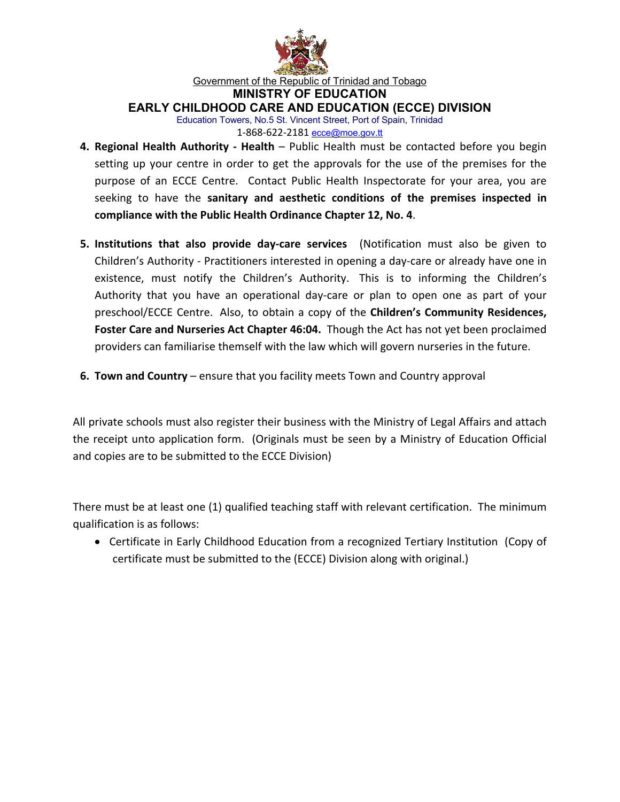

Government of the Republic of Trinidad and Tobago

**MINISTRY OF EDUCATION**

**EARLY CHILDHOOD CARE AND EDUCATION (ECCE) DIVISION**

Education Towers, No.5 St. Vincent Street, Port of Spain, Trinidad 1-868-622-2181 ecce@moe.gov.tt

- **4. Regional Health Authority - Health** Public Health must be contacted before you begin setting up your centre in order to get the approvals for the use of the premises for the purpose of an ECCE Centre. Contact Public Health Inspectorate for your area, you are seeking to have the **sanitary and aesthetic conditions of the premises inspected in compliance with the Public Health Ordinance Chapter 12, No. 4**.
- **5. Institutions that also provide day-care services** (Notification must also be given to Children's Authority - Practitioners interested in opening a day-care or already have one in existence, must notify the Children's Authority. This is to informing the Children's Authority that you have an operational day-care or plan to open one as part of your preschool/ECCE Centre. Also, to obtain a copy of the **Children's Community Residences, Foster Care and Nurseries Act Chapter 46:04.** Though the Act has not yet been proclaimed providers can familiarise themself with the law which will govern nurseries in the future.
- **6. Town and Country** ensure that you facility meets Town and Country approval

All private schools must also register their business with the Ministry of Legal Affairs and attach the receipt unto application form. (Originals must be seen by a Ministry of Education Official and copies are to be submitted to the ECCE Division)

There must be at least one (1) qualified teaching staff with relevant certification. The minimum qualification is as follows:

• Certificate in Early Childhood Education from a recognized Tertiary Institution (Copy of certificate must be submitted to the (ECCE) Division along with original.)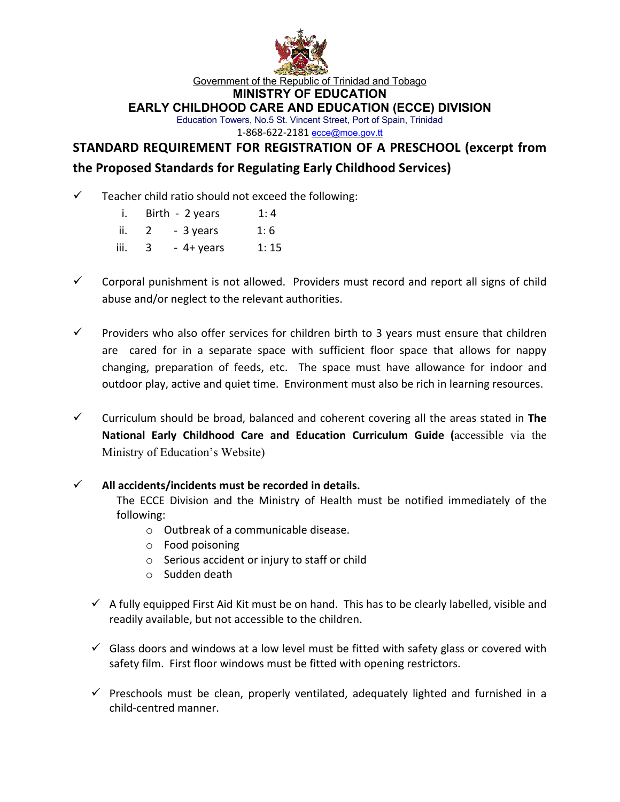

Government of the Republic of Trinidad and Tobago

**MINISTRY OF EDUCATION**

**EARLY CHILDHOOD CARE AND EDUCATION (ECCE) DIVISION**

Education Towers, No.5 St. Vincent Street, Port of Spain, Trinidad 1-868-622-2181 ecce@moe.gov.tt

# **STANDARD REQUIREMENT FOR REGISTRATION OF A PRESCHOOL (excerpt from the Proposed Standards for Regulating Early Childhood Services)**

- Teacher child ratio should not exceed the following:
	- i. Birth  $2$  years 1: 4
	- ii. 2 3 years 1: 6
	- iii. 3 4+ years 1: 15
- $\checkmark$  Corporal punishment is not allowed. Providers must record and report all signs of child abuse and/or neglect to the relevant authorities.
- $\checkmark$  Providers who also offer services for children birth to 3 years must ensure that children are cared for in a separate space with sufficient floor space that allows for nappy changing, preparation of feeds, etc. The space must have allowance for indoor and outdoor play, active and quiet time. Environment must also be rich in learning resources.
- $\checkmark$  Curriculum should be broad, balanced and coherent covering all the areas stated in **The National Early Childhood Care and Education Curriculum Guide (**accessible via the Ministry of Education's Website)

#### ü **All accidents/incidents must be recorded in details.**

The ECCE Division and the Ministry of Health must be notified immediately of the following:

- o Outbreak of a communicable disease.
- o Food poisoning
- o Serious accident or injury to staff or child
- o Sudden death
- $\checkmark$  A fully equipped First Aid Kit must be on hand. This has to be clearly labelled, visible and readily available, but not accessible to the children.
- $\checkmark$  Glass doors and windows at a low level must be fitted with safety glass or covered with safety film. First floor windows must be fitted with opening restrictors.
- $\checkmark$  Preschools must be clean, properly ventilated, adequately lighted and furnished in a child-centred manner.